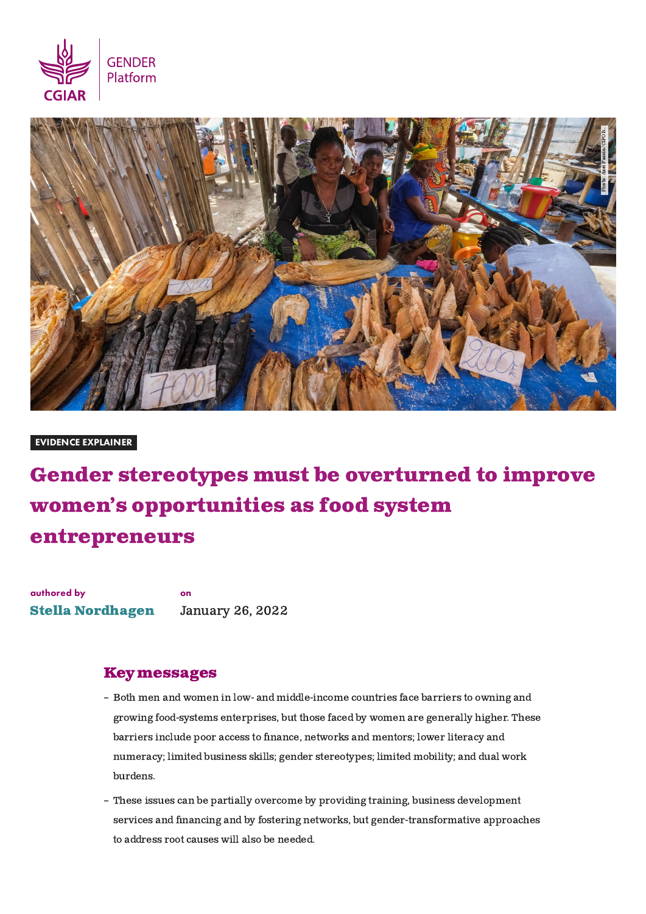



#### EVIDENCE EXPLAINER

# Gender stereotypes must be overturned to improve women's opportunities as food system entrepreneurs

authored by Stella [Nordhagen](https://gender.cgiar.org/experts/stella-nordhagen) on January 26, 2022

## Keymessages

- Both men and women in low- and middle-income countries face barriers to owning and growing food-systems enterprises, but those faced by women are generally higher. These barriers include poor access to finance, networks and mentors; lower literacy and numeracy; limited business skills; gender stereotypes; limited mobility; and dual work burdens.
- These issues can be partially overcome by providing training, business development services and financing and by fostering networks, but gender-transformative approaches to address root causes will also be needed.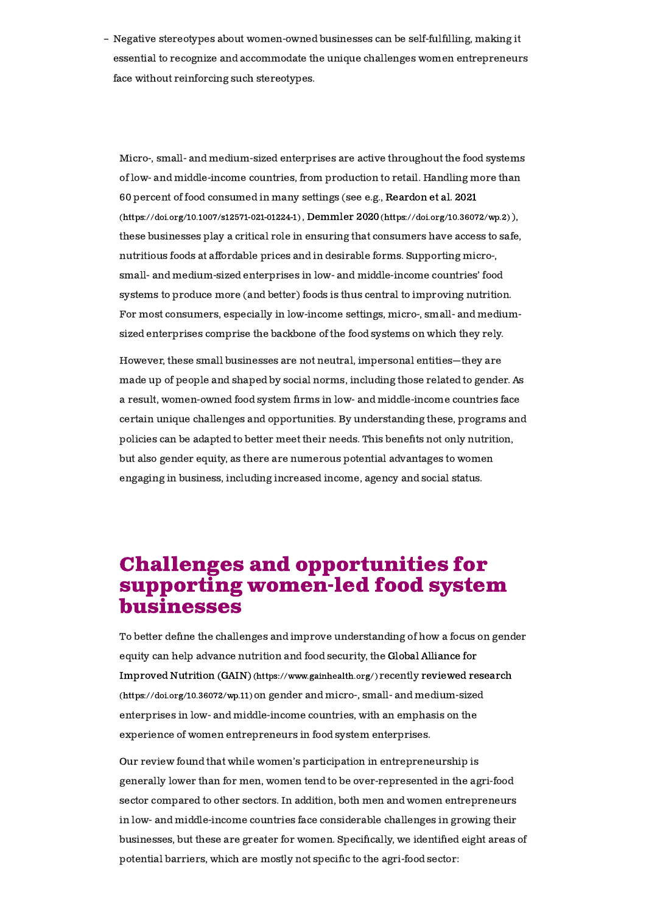– Negative stereotypes about women-owned businesses can be self-fulfilling, making it essential to recognize and accommodate the unique challenges women entrepreneurs face without reinforcing such stereotypes.

Micro-, small- and medium-sized enterprises are active throughout the food systems of low- and middle-income countries, from production to retail. Handling more than 60 percent of food consumed in many settings (see e.g., Reardon et al. 2021 [\(https://doi.org/10.1007/s12571-021-01224-1\)](https://doi.org/10.1007/s12571-021-01224-1) , Demmler 2020[\(https://doi.org/10.36072/wp.2\)](https://doi.org/10.36072/wp.2) ), these businesses play a critical role in ensuring that consumers have access to safe, nutritious foods at affordable prices and in desirable forms. Supporting micro-, small- and medium-sized enterprises in low- and middle-income countries' food systems to produce more (and better) foods is thus central to improving nutrition. For most consumers, especially in low-income settings, micro-, small- and mediumsized enterprises comprise the backbone of the food systems on which they rely.

However, these small businesses are not neutral, impersonal entities—they are made up of people and shaped by social norms, including those related to gender. As a result, women-owned food system firms in low- and middle-income countries face certain unique challenges and opportunities. By understanding these, programs and policies can be adapted to better meet their needs. This benefits not only nutrition, but also gender equity, as there are numerous potential advantages to women engaging in business, including increased income, agency and social status.

# Challenges and opportunities for supporting women-led food system businesses

To better define the challenges and improve understanding of how a focus on gender equity can help advance nutrition and food security, the Global Alliance for Improved Nutrition (GAIN) [\(https://www.gainhealth.org/\)](https://www.gainhealth.org/) recently reviewed research [\(https://doi.org/10.36072/wp.11\)](https://doi.org/10.36072/wp.11)on gender and micro-, small- and medium-sized enterprises in low- and middle-income countries, with an emphasis on the experience of women entrepreneurs in food system enterprises.

Our review found that while women's participation in entrepreneurship is generally lower than for men, women tend to be over-represented in the agri-food sector compared to other sectors. In addition, both men and women entrepreneurs in low- and middle-income countries face considerable challenges in growing their businesses, but these are greater for women. Specifically, we identified eight areas of potential barriers, which are mostly not specific to the agri-food sector: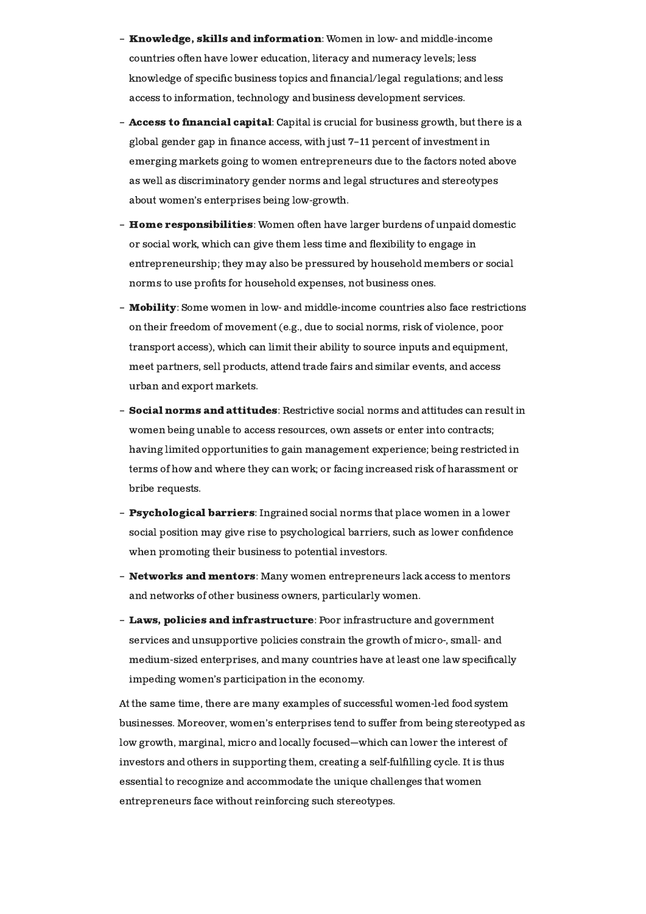- **Knowledge, skills and information**: Women in low- and middle-income countries often have lower education, literacy and numeracy levels; less knowledge of specific business topics and financial/legal regulations; and less access to information, technology and business development services.
- **Access to financial capital**: Capital is crucial for business growth, but there is a global gender gap in finance access, with just 7-11 percent of investment in emerging markets going to women entrepreneurs due to the factors noted above as well as discriminatory gender norms and legal structures and stereotypes about women's enterprises being low-growth.
- $\, {\bf H}$ ome responsibilities: Women often have larger burdens of unpaid domestic or social work, which can give them less time and flexibility to engage in entrepreneurship; they may also be pressured by household members or social norms to use profits for household expenses, not business ones.
- **Mobility**: Some women in low- and middle-income countries also face restrictions on their freedom of movement (e.g., due to social norms, risk of violence, poor transport access), which can limit their ability to source inputs and equipment, meet partners, sell products, attend trade fairs and similar events, and access urban and export markets.
- $\bf Social~norms~and~attitudes$ : Restrictive social norms and attitudes can result in women being unable to access resources, own assets or enter into contracts; having limited opportunities to gain management experience; being restricted in terms of how and where they can work; or facing increased risk of harassment or bribe requests.
- **Psychological barriers**: Ingrained social norms that place women in a lower social position may give rise to psychological barriers, such as lower confidence when promoting their business to potential investors.
- $\,$  Networks and mentors: Many women entrepreneurs lack access to mentors  $\,$ and networks of other business owners, particularly women.
- Laws, policies and infrastructure: Poor infrastructure and government services and unsupportive policies constrain the growth of micro-, small- and medium-sized enterprises, and many countries have at least one law specifically impeding women's participation in the economy.

At the same time, there are many examples of successful women-led food system businesses. Moreover, women's enterprises tend to suffer from being stereotyped as low growth, marginal, micro and locally focused—which can lower the interest of investors and others in supporting them, creating a self-fulfilling cycle. It is thus essential to recognize and accommodate the unique challenges that women entrepreneurs face without reinforcing such stereotypes.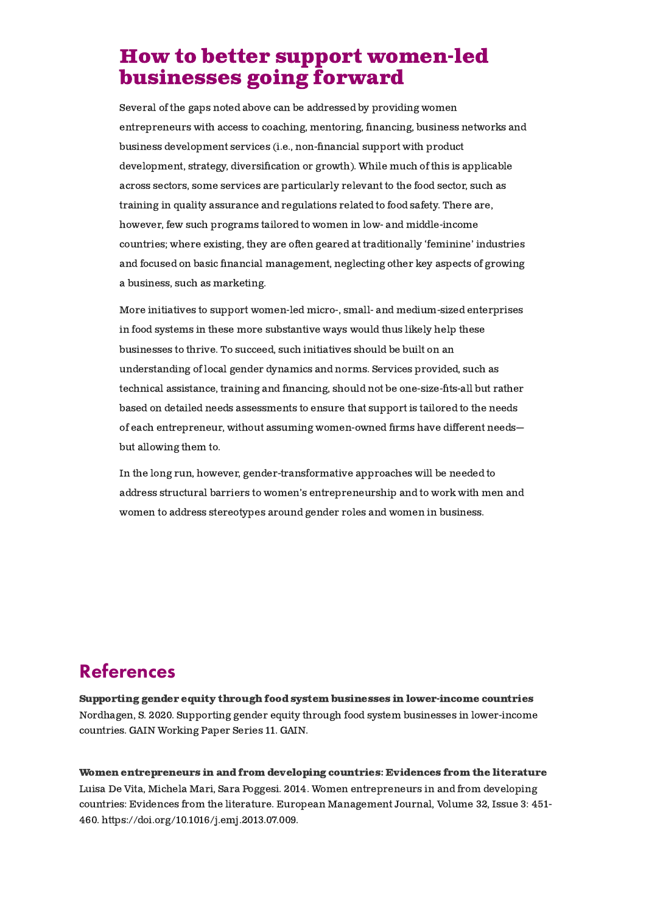# How to better support women-led businesses going forward

Several of the gaps noted above can be addressed by providing women entrepreneurs with access to coaching, mentoring, nancing, business networks and business development services (i.e., non-financial support with product development, strategy, diversification or growth). While much of this is applicable across sectors, some services are particularly relevant to the food sector, such as training in quality assurance and regulations related to food safety. There are, however, few such programs tailored to women in low- and middle-income countries; where existing, they are often geared at traditionally 'feminine' industries and focused on basic financial management, neglecting other key aspects of growing a business, such as marketing.

More initiatives to support women-led micro-, small- and medium-sized enterprises in food systems in these more substantive ways would thus likely help these businesses to thrive. To succeed, such initiatives should be built on an understanding of local gender dynamics and norms. Services provided, such as technical assistance, training and financing, should not be one-size-fits-all but rather based on detailed needs assessments to ensure that support is tailored to the needs of each entrepreneur, without assuming women-owned firms have different needsbut allowing them to.

In the long run, however, gender-transformative approaches will be needed to address structural barriers to women's entrepreneurship and to work with men and women to address stereotypes around gender roles and women in business.

# References

Nordhagen, S. 2020. Supporting gender equity through food system businesses in lower-income countries. GAIN Working Paper Series 11. GAIN. Supporting gender equity through food system businesses in [lower-income](https://gender.cgiar.org/publications-data/supporting-gender-equity-through-food-system-businesses-lower-income-countries) countries

Luisa De Vita, Michela Mari, Sara Poggesi. 2014. Women entrepreneurs in and from developing countries: Evidences from the literature. European Management Journal, Volume 32, Issue 3: 451- 460. [https://doi.org/10.1016/j.emj.2013.07.009.](https://gender.cgiar.org/publications-data/women-entrepreneurs-and-developing-countries-evidences-literature) Women [entrepreneurs](https://gender.cgiar.org/publications-data/women-entrepreneurs-and-developing-countries-evidences-literature) in and from developing countries: Evidences from the literature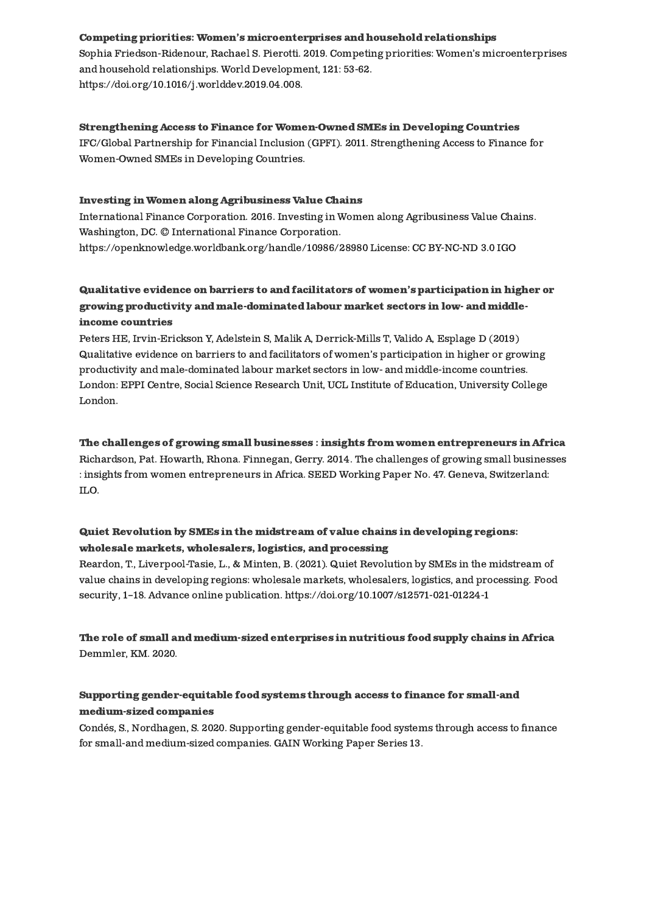#### Competing priorities: Women's [microenterprises](https://gender.cgiar.org/publications-data/competing-priorities-womens-microenterprises-and-household-relationships) and household relationships

Sophia Friedson-Ridenour, Rachael S. Pierotti. 2019. Competing priorities: Women's microenterprises and household relationships. World Development, 121: 53-62. [https://doi.org/10.1016/j.worlddev.2019.04.008.](https://gender.cgiar.org/publications-data/competing-priorities-womens-microenterprises-and-household-relationships)

#### Strengthening Access to Finance for [Women-Owned](https://gender.cgiar.org/publications-data/strengthening-access-finance-women-owned-smes-developing-countries) SMEs in Developing Countries

IFC/Global Partnership for Financial Inclusion (GPFI). 2011. Strengthening Access to Finance for Women-Owned SMEs in Developing Countries.

#### Investing in Women along [Agribusiness](https://gender.cgiar.org/publications-data/investing-women-along-agribusiness-value-chains) Value Chains

International Finance Corporation. 2016. Investing in Women along Agribusiness Value Chains. Washington, DC. © International Finance Corporation. [https://openknowledge.worldbank.org/handle/10986/28980](https://gender.cgiar.org/publications-data/investing-women-along-agribusiness-value-chains) License: CC BY-NC-ND 3.0 IGO

### Qualitative evidence on barriers to and facilitators of women's participation in higher or growing productivity and [male-dominated](https://gender.cgiar.org/publications-data/qualitative-evidence-barriers-and-facilitators-womens-participation-higher-or) labour market sectors in low- and middleincome countries

Peters HE, Irvin-Erickson Y, Adelstein S, Malik A, Derrick-Mills T, Valido A, Esplage D (2019) Qualitative evidence on barriers to and facilitators of women's participation in higher or growing productivity and male-dominated labour market sectors in low- and middle-income countries. London: EPPI Centre, Social Science Research Unit, UCL Institute of Education, University College London.

# The challenges of growing small businesses : insights from women [entrepreneurs](https://gender.cgiar.org/publications-data/challenges-growing-small-businesses-insights-women-entrepreneurs-africa) in Africa

Richardson, Pat. Howarth, Rhona. Finnegan, Gerry. 2014. The challenges of growing small businesses : insights from women entrepreneurs in Africa. SEED Working Paper No. 47. Geneva, Switzerland: ILO.

### Quiet Revolution by SMEs in the midstream of value chains in developing regions: wholesale markets, [wholesalers,](https://gender.cgiar.org/publications-data/quiet-revolution-smes-midstream-value-chains-developing-regions-wholesale-markets) logistics, and processing

Reardon, T., Liverpool-Tasie, L., & Minten, B. (2021). Quiet Revolution by SMEs in the midstream of value chains in developing regions: wholesale markets, wholesalers, logistics, and processing. Food security, 1–18. Advance online publication. [https://doi.org/10.1007/s12571-021-01224-1](https://gender.cgiar.org/publications-data/quiet-revolution-smes-midstream-value-chains-developing-regions-wholesale-markets)

### Demmler, KM. 2020. The role of small and [medium-sized](https://gender.cgiar.org/publications-data/role-small-and-medium-sized-enterprises-nutritious-food-supply-chains-africa) enterprises in nutritious food supply chains in Africa

### Supporting [gender-equitable](https://gender.cgiar.org/publications-data/supporting-gender-equitable-food-systems-through-access-finance-small-and-medium) food systems through access to finance for small-and medium-sized companies

Condés, S., Nordhagen, S. 2020. Supporting gender-equitable food systems through access to finance for small-and medium-sized companies. GAIN Working Paper Series 13.